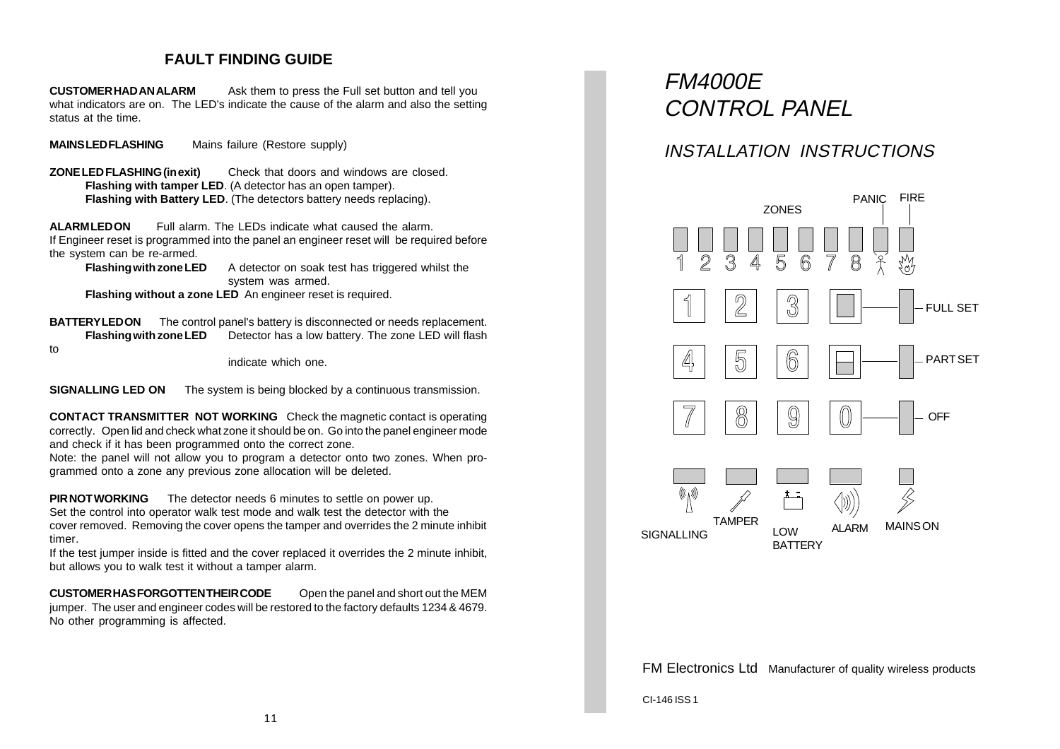## **FAULT FINDING GUIDE**

**CUSTOMER HAD AN ALARM** Ask them to press the Full set button and tell you what indicators are on. The LED's indicate the cause of the alarm and also the setting status at the time.

**MAINS LED FLASHING** Mains failure (Restore supply)

**ZONE LED FLASHING (in exit)** Check that doors and windows are closed. **Flashing with tamper LED**. (A detector has an open tamper). **Flashing with Battery LED**. (The detectors battery needs replacing).

**ALARM LED ON** Full alarm. The LEDs indicate what caused the alarm. If Engineer reset is programmed into the panel an engineer reset will be required before the system can be re-armed.

**Flashing with zone LED** A detector on soak test has triggered whilst the system was armed.

**Flashing without a zone LED** An engineer reset is required.

**BATTERY LED ON** The control panel's battery is disconnected or needs replacement. **Flashing with zone LED** Detector has a low battery. The zone LED will flash to

indicate which one.

**SIGNALLING LED ON** The system is being blocked by a continuous transmission.

**CONTACT TRANSMITTER NOT WORKING** Check the magnetic contact is operating correctly. Open lid and check what zone it should be on. Go into the panel engineer mode and check if it has been programmed onto the correct zone.

Note: the panel will not allow you to program a detector onto two zones. When programmed onto a zone any previous zone allocation will be deleted.

**PIR NOT WORKING** The detector needs 6 minutes to settle on power up. Set the control into operator walk test mode and walk test the detector with the cover removed. Removing the cover opens the tamper and overrides the 2 minute inhibit timer.

If the test jumper inside is fitted and the cover replaced it overrides the 2 minute inhibit, but allows you to walk test it without a tamper alarm.

**CUSTOMER HAS FORGOTTEN THEIR CODE** Open the panel and short out the MEM jumper. The user and engineer codes will be restored to the factory defaults 1234 & 4679. No other programming is affected.

# FM4000E CONTROL PANEL

## INSTALLATION INSTRUCTIONS



FM Electronics Ltd Manufacturer of quality wireless products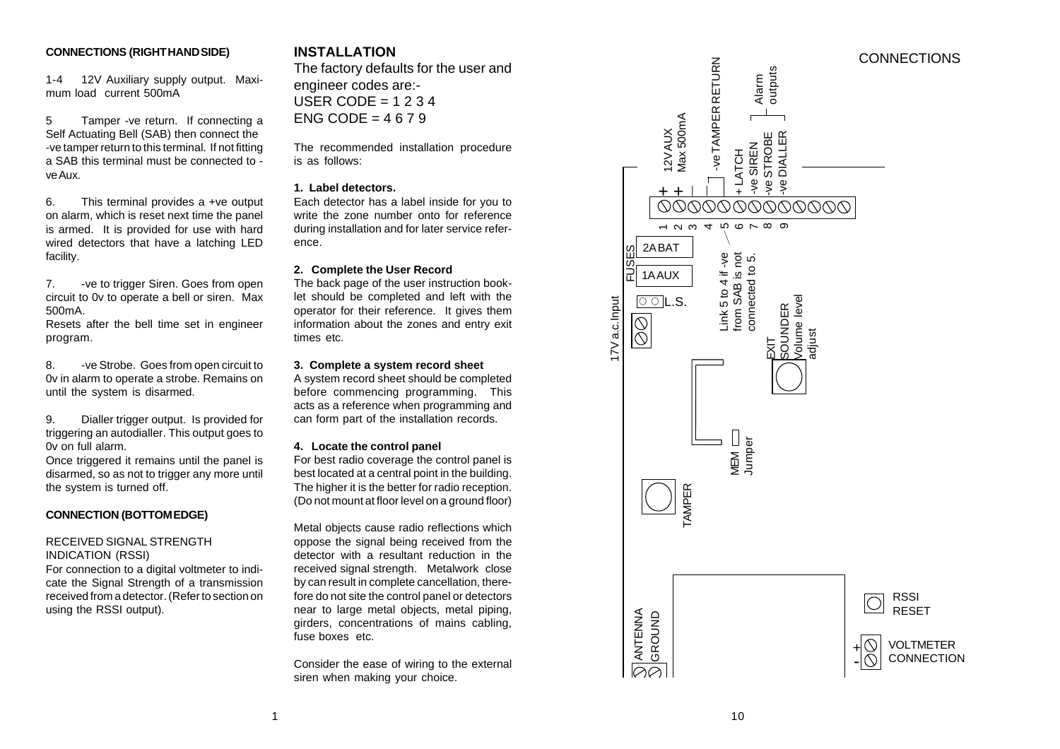1-4 12V Auxiliary supply output. Maximum load current 500mA

5 Tamper -ve return. If connecting a Self Actuating Bell (SAB) then connect the -ve tamper return to this terminal. If not fitting a SAB this terminal must be connected to ve Aux.

6. This terminal provides a +ve output on alarm, which is reset next time the panel is armed. It is provided for use with hard wired detectors that have a latching LED facility.

7. -ve to trigger Siren. Goes from open circuit to 0v to operate a bell or siren. Max 500mA.

Resets after the bell time set in engineer program.

8. - ve Strobe. Goes from open circuit to 0v in alarm to operate a strobe. Remains on until the system is disarmed.

9. Dialler trigger output. Is provided for triggering an autodialler. This output goes to 0v on full alarm.

Once triggered it remains until the panel is disarmed, so as not to trigger any more until the system is turned off.

#### **CONNECTION (BOTTOM EDGE)**

#### RECEIVED SIGNAL STRENGTH INDICATION (RSSI)

For connection to a digital voltmeter to indicate the Signal Strength of a transmission received from a detector. (Refer to section on using the RSSI output).

## **INSTALLATION**

The factory defaults for the user and engineer codes are:- USER CODE =  $1234$ ENG CODE =  $4679$ 

The recommended installation procedure is as follows:

#### **1. Label detectors.**

Each detector has a label inside for you to write the zone number onto for reference during installation and for later service reference.

#### **2. Complete the User Record**

The back page of the user instruction booklet should be completed and left with the operator for their reference. It gives them information about the zones and entry exit times etc.

#### **3. Complete a system record sheet**

A system record sheet should be completed before commencing programming. This acts as a reference when programming and can form part of the installation records.

#### **4. Locate the control panel**

For best radio coverage the control panel is best located at a central point in the building. The higher it is the better for radio reception. (Do not mount at floor level on a ground floor)

Metal objects cause radio reflections which oppose the signal being received from the detector with a resultant reduction in the received signal strength. Metalwork close by can result in complete cancellation, therefore do not site the control panel or detectors near to large metal objects, metal piping, girders, concentrations of mains cabling, fuse boxes etc.

Consider the ease of wiring to the external siren when making your choice.

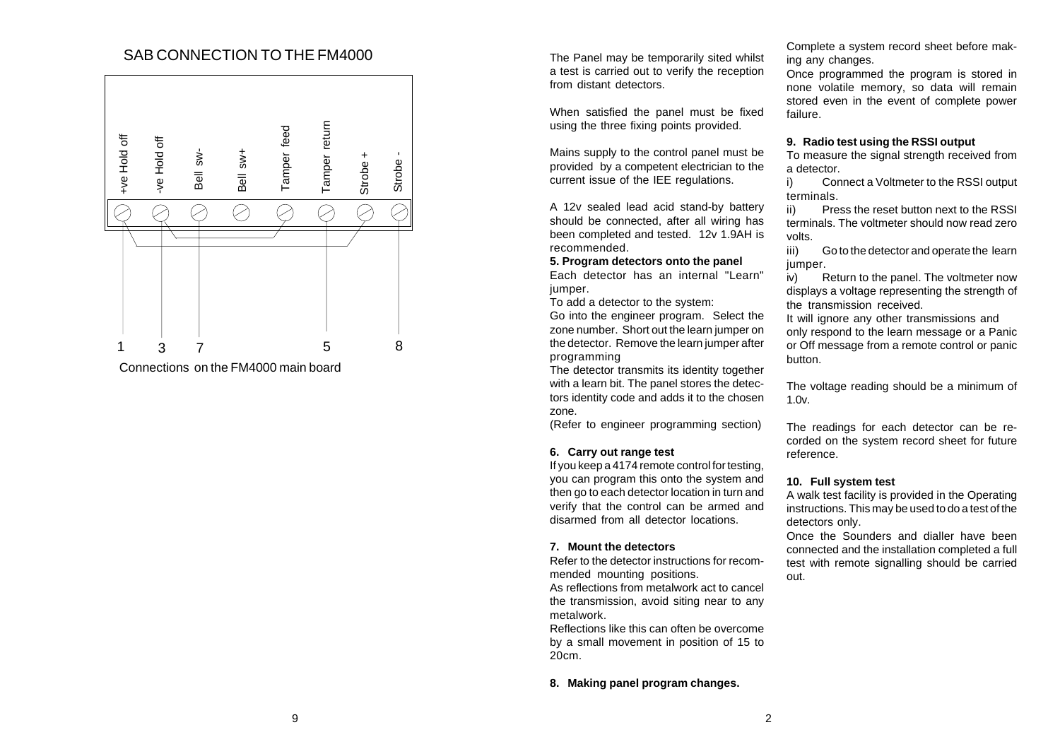## SAB CONNECTION TO THE FM4000 The Panel may be temporarily sited whilst



Connections on the FM4000 main board

a test is carried out to verify the reception from distant detectors.

When satisfied the panel must be fixed using the three fixing points provided.

Mains supply to the control panel must be provided by a competent electrician to the current issue of the IEE regulations.

A 12v sealed lead acid stand-by battery should be connected, after all wiring has been completed and tested. 12v 1.9AH is recommended.

#### **5. Program detectors onto the panel**

Each detector has an internal "Learn" jumper.

To add a detector to the system:

Go into the engineer program. Select the zone number. Short out the learn jumper on the detector. Remove the learn jumper after programming

The detector transmits its identity together with a learn bit. The panel stores the detectors identity code and adds it to the chosen zone.

(Refer to engineer programming section)

#### **6. Carry out range test**

If you keep a 4174 remote control for testing, you can program this onto the system and then go to each detector location in turn and verify that the control can be armed and disarmed from all detector locations.

#### **7. Mount the detectors**

Refer to the detector instructions for recommended mounting positions. As reflections from metalwork act to cancel the transmission, avoid siting near to any

metalwork. Reflections like this can often be overcome

by a small movement in position of 15 to 20cm.

#### **8. Making panel program changes.**

Complete a system record sheet before making any changes.

Once programmed the program is stored in none volatile memory, so data will remain stored even in the event of complete power failure.

#### **9. Radio test using the RSSI output**

To measure the signal strength received from a detector.

i) Connect a Voltmeter to the RSSI output terminals.

ii) Press the reset button next to the RSSI terminals. The voltmeter should now read zero volts.

iii) Go to the detector and operate the learn jumper.

iv) Return to the panel. The voltmeter now displays a voltage representing the strength of the transmission received.

It will ignore any other transmissions and only respond to the learn message or a Panic or Off message from a remote control or panic button.

The voltage reading should be a minimum of 1.0v.

The readings for each detector can be recorded on the system record sheet for future reference.

#### **10. Full system test**

A walk test facility is provided in the Operating instructions. This may be used to do a test of the detectors only.

Once the Sounders and dialler have been connected and the installation completed a full test with remote signalling should be carried out.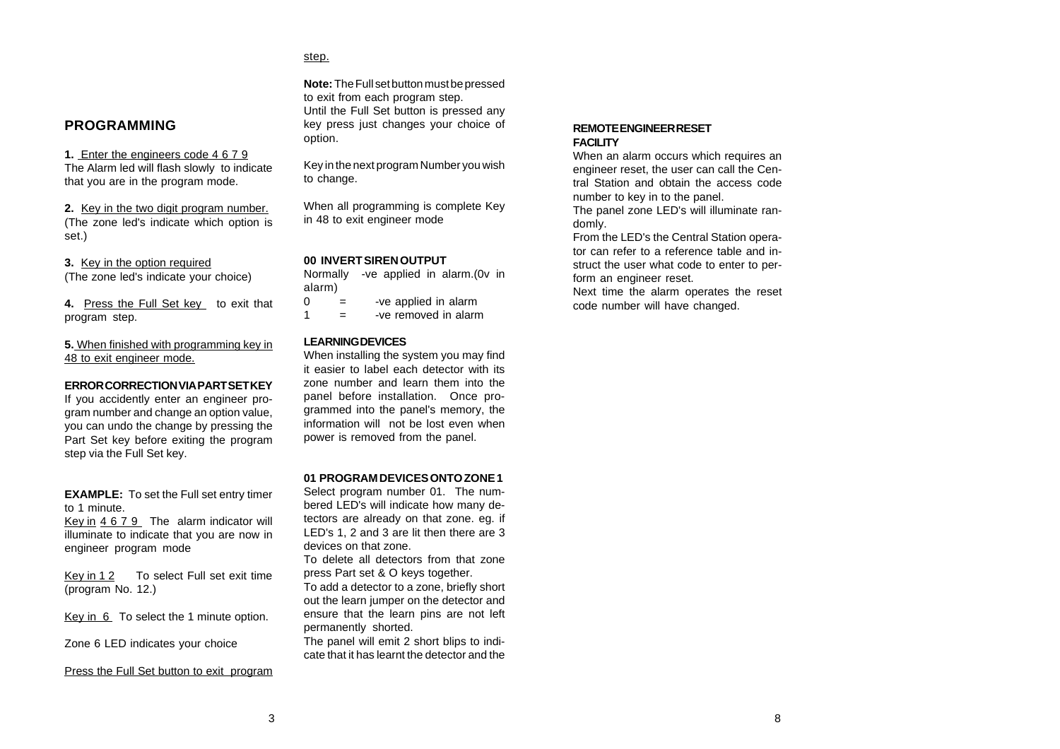### **PROGRAMMING**

**1.** Enter the engineers code 4 6 7 9 The Alarm led will flash slowly to indicate that you are in the program mode.

**2.** Key in the two digit program number. (The zone led's indicate which option is set.)

**3.** Key in the option required (The zone led's indicate your choice)

**4.** Press the Full Set key to exit that program step.

**5.** When finished with programming key in 48 to exit engineer mode.

#### **ERROR CORRECTION VIA PART SET KEY**

If you accidently enter an engineer program number and change an option value, you can undo the change by pressing the Part Set key before exiting the program step via the Full Set key.

**EXAMPLE:** To set the Full set entry timer to 1 minute.

Key in 4 6 7 9 The alarm indicator will illuminate to indicate that you are now in engineer program mode

Key in 12 To select Full set exit time (program No. 12.)

Key in 6 To select the 1 minute option.

Zone 6 LED indicates your choice

Press the Full Set button to exit program

**Note:** The Full set button must be pressed to exit from each program step. Until the Full Set button is pressed any key press just changes your choice of option.

Key in the next program Number you wish to change.

When all programming is complete Key in 48 to exit engineer mode

#### **00 INVERT SIREN OUTPUT**

Normally -ve applied in alarm.(0v in alarm)

- $0 =$  -ve applied in alarm
- $1 =$  -ve removed in alarm

#### **LEARNING DEVICES**

step.

When installing the system you may find it easier to label each detector with its zone number and learn them into the panel before installation. Once programmed into the panel's memory, the information will not be lost even when power is removed from the panel.

#### **01 PROGRAM DEVICES ONTO ZONE 1**

Select program number 01. The numbered LED's will indicate how many detectors are already on that zone. eg. if LED's 1, 2 and 3 are lit then there are 3 devices on that zone.

To delete all detectors from that zone press Part set & O keys together. To add a detector to a zone, briefly short out the learn jumper on the detector and ensure that the learn pins are not left permanently shorted.

The panel will emit 2 short blips to indicate that it has learnt the detector and the

#### **REMOTE ENGINEER RESET FACILITY**

When an alarm occurs which requires an engineer reset, the user can call the Central Station and obtain the access code number to key in to the panel. The panel zone LED's will illuminate randomly.

From the LED's the Central Station operator can refer to a reference table and instruct the user what code to enter to perform an engineer reset.

Next time the alarm operates the reset code number will have changed.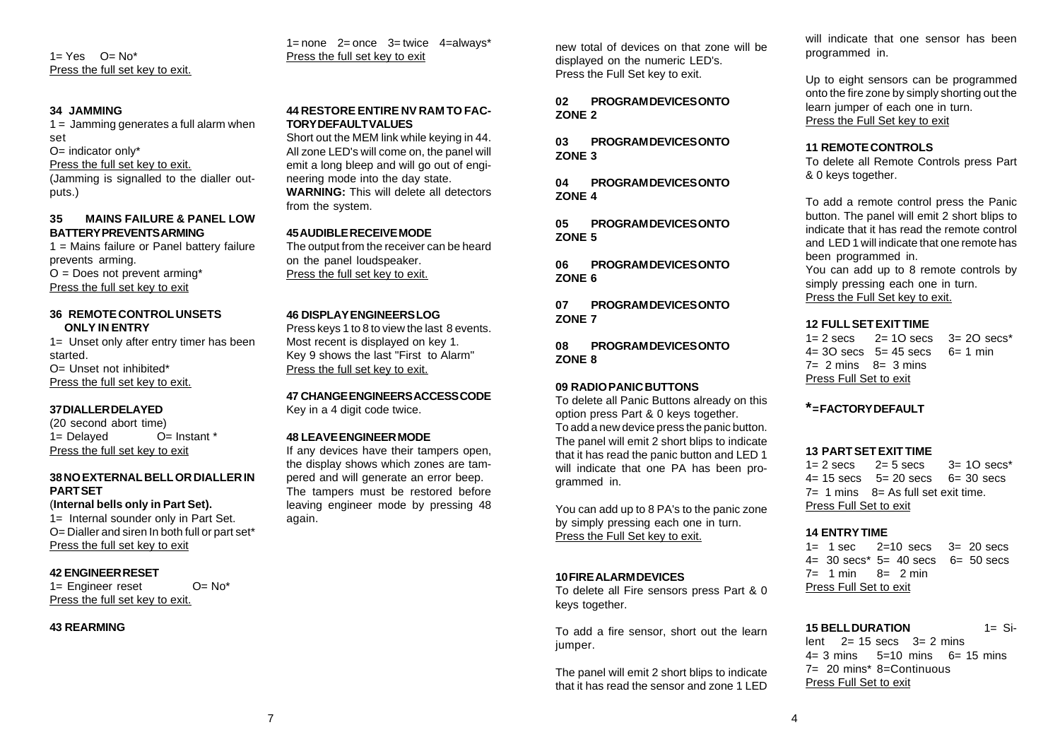$1 = Yes$   $Q = No^*$ Press the full set key to exit.

#### **34 JAMMING**

 $1 =$  Jamming generates a full alarm when set O= indicator only\* Press the full set key to exit. (Jamming is signalled to the dialler outputs.)

#### **35 MAINS FAILURE & PANEL LOW BATTERY PREVENTS ARMING**

1 = Mains failure or Panel battery failure prevents arming.  $O = Does not prevent arming*$ Press the full set key to exit

#### **36 REMOTE CONTROL UNSETS ONLY IN ENTRY**

1= Unset only after entry timer has been started. O= Unset not inhibited\* Press the full set key to exit.

#### **37 DIALLER DELAYED**

(20 second abort time) 1= Delayed O= Instant \* Press the full set key to exit

#### **38 NO EXTERNAL BELL OR DIALLER IN PART SET**

(**Internal bells only in Part Set).**

1= Internal sounder only in Part Set. O= Dialler and siren In both full or part set\* Press the full set key to exit

#### **42 ENGINEER RESET**

1= Engineer reset O= No\* Press the full set key to exit.

#### **43 REARMING**

 $1=$  none  $2=$  once  $3=$  twice  $4=$  always\* Press the full set key to exit

#### **44 RESTORE ENTIRE NV RAM TO FAC-TORY DEFAULT VALUES**

Short out the MEM link while keying in 44. All zone LED's will come on, the panel will emit a long bleep and will go out of engineering mode into the day state. **WARNING:** This will delete all detectors from the system.

#### **45 AUDIBLE RECEIVE MODE**

The output from the receiver can be heard on the panel loudspeaker. Press the full set key to exit.

#### **46 DISPLAY ENGINEERS LOG**

Press keys 1 to 8 to view the last 8 events. Most recent is displayed on key 1. Key 9 shows the last "First to Alarm" Press the full set key to exit.

**47 CHANGE ENGINEERS ACCESS CODE** Key in a 4 digit code twice.

#### **48 LEAVE ENGINEER MODE**

If any devices have their tampers open, the display shows which zones are tampered and will generate an error beep. The tampers must be restored before leaving engineer mode by pressing 48 again.

new total of devices on that zone will be displayed on the numeric LED's. Press the Full Set key to exit.

**02 PROGRAM DEVICES ONTO ZONE 2**

**03 PROGRAM DEVICES ONTO ZONE 3**

**04 PROGRAM DEVICES ONTO ZONE 4**

**05 PROGRAM DEVICES ONTO ZONE 5**

**06 PROGRAM DEVICES ONTO ZONE 6**

**07 PROGRAM DEVICES ONTO ZONE 7**

**08 PROGRAM DEVICES ONTO ZONE 8**

#### **09 RADIO PANIC BUTTONS**

To delete all Panic Buttons already on this option press Part & 0 keys together. To add a new device press the panic button. The panel will emit 2 short blips to indicate that it has read the panic button and LED 1 will indicate that one PA has been programmed in.

You can add up to 8 PA's to the panic zone by simply pressing each one in turn. Press the Full Set key to exit.

#### **10 FIRE ALARM DEVICES**

To delete all Fire sensors press Part & 0 keys together.

To add a fire sensor, short out the learn jumper.

The panel will emit 2 short blips to indicate that it has read the sensor and zone 1 LED

will indicate that one sensor has been programmed in.

Up to eight sensors can be programmed onto the fire zone by simply shorting out the learn jumper of each one in turn. Press the Full Set key to exit

#### **11 REMOTE CONTROLS**

To delete all Remote Controls press Part & 0 keys together.

To add a remote control press the Panic button. The panel will emit 2 short blips to indicate that it has read the remote control and LED 1 will indicate that one remote has been programmed in.

You can add up to 8 remote controls by simply pressing each one in turn. Press the Full Set key to exit.

#### **12 FULL SET EXIT TIME**

 $1 = 2$  secs  $2 = 10$  secs  $3 = 20$  secs<sup>\*</sup>  $4 = 30$  secs  $5 = 45$  secs  $6 = 1$  min  $7= 2$  mins  $8= 3$  mins Press Full Set to exit

#### **\* = FACTORY DEFAULT**

#### **13 PART SET EXIT TIME**

 $1=$  2 secs  $2=$  5 secs  $3=$  10 secs<sup>\*</sup>  $4 = 15$  secs  $5 = 20$  secs  $6 = 30$  secs  $7=$  1 mins  $8=$  As full set exit time. Press Full Set to exit

#### **14 ENTRY TIME**

 $1 = 1$  sec  $2=10$  secs  $3=20$  secs  $4 = 30$  secs<sup>\*</sup>  $5 = 40$  secs  $6 = 50$  secs  $7 = 1$  min  $8 = 2$  min Press Full Set to exit

**15 BELL DURATION** 1= Silent  $2= 15$  secs  $3= 2$  mins  $4 = 3$  mins  $5 = 10$  mins  $6 = 15$  mins 7= 20 mins\* 8=Continuous Press Full Set to exit